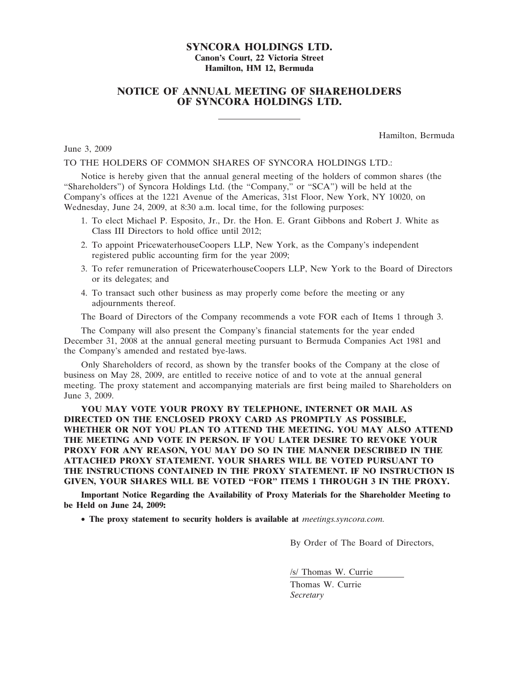# SYNCORA HOLDINGS LTD. Canon's Court, 22 Victoria Street Hamilton, HM 12, Bermuda

# NOTICE OF ANNUAL MEETING OF SHAREHOLDERS OF SYNCORA HOLDINGS LTD.

Hamilton, Bermuda

June 3, 2009

### TO THE HOLDERS OF COMMON SHARES OF SYNCORA HOLDINGS LTD.:

Notice is hereby given that the annual general meeting of the holders of common shares (the "Shareholders") of Syncora Holdings Ltd. (the "Company," or "SCA") will be held at the Company's offices at the 1221 Avenue of the Americas, 31st Floor, New York, NY 10020, on Wednesday, June 24, 2009, at 8:30 a.m. local time, for the following purposes:

- 1. To elect Michael P. Esposito, Jr., Dr. the Hon. E. Grant Gibbons and Robert J. White as Class III Directors to hold office until 2012;
- 2. To appoint PricewaterhouseCoopers LLP, New York, as the Company's independent registered public accounting firm for the year 2009;
- 3. To refer remuneration of PricewaterhouseCoopers LLP, New York to the Board of Directors or its delegates; and
- 4. To transact such other business as may properly come before the meeting or any adjournments thereof.

The Board of Directors of the Company recommends a vote FOR each of Items 1 through 3.

The Company will also present the Company's financial statements for the year ended December 31, 2008 at the annual general meeting pursuant to Bermuda Companies Act 1981 and the Company's amended and restated bye-laws.

Only Shareholders of record, as shown by the transfer books of the Company at the close of business on May 28, 2009, are entitled to receive notice of and to vote at the annual general meeting. The proxy statement and accompanying materials are first being mailed to Shareholders on June 3, 2009.

YOU MAY VOTE YOUR PROXY BY TELEPHONE, INTERNET OR MAIL AS DIRECTED ON THE ENCLOSED PROXY CARD AS PROMPTLY AS POSSIBLE, WHETHER OR NOT YOU PLAN TO ATTEND THE MEETING. YOU MAY ALSO ATTEND THE MEETING AND VOTE IN PERSON. IF YOU LATER DESIRE TO REVOKE YOUR PROXY FOR ANY REASON, YOU MAY DO SO IN THE MANNER DESCRIBED IN THE ATTACHED PROXY STATEMENT. YOUR SHARES WILL BE VOTED PURSUANT TO THE INSTRUCTIONS CONTAINED IN THE PROXY STATEMENT. IF NO INSTRUCTION IS GIVEN, YOUR SHARES WILL BE VOTED "FOR" ITEMS 1 THROUGH 3 IN THE PROXY.

Important Notice Regarding the Availability of Proxy Materials for the Shareholder Meeting to be Held on June 24, 2009:

• The proxy statement to security holders is available at *meetings.syncora.com.* 

By Order of The Board of Directors,

/s/ Thomas W. Currie

Thomas W. Currie **Secretary**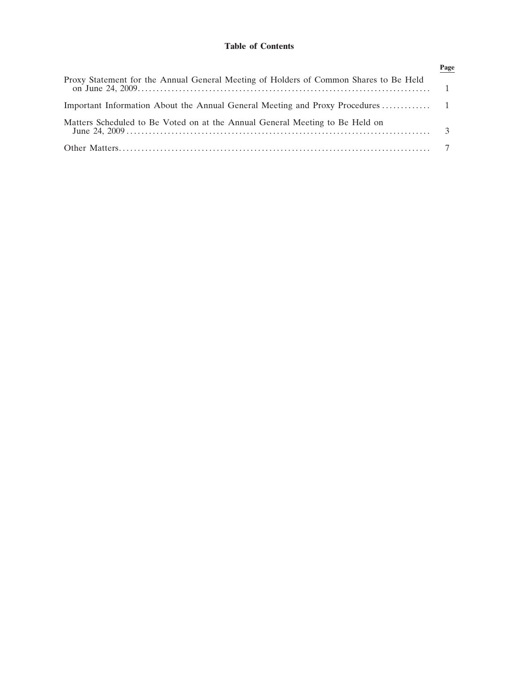# Table of Contents

|                                                                                       | Page |
|---------------------------------------------------------------------------------------|------|
| Proxy Statement for the Annual General Meeting of Holders of Common Shares to Be Held |      |
|                                                                                       |      |
| Matters Scheduled to Be Voted on at the Annual General Meeting to Be Held on          |      |
|                                                                                       |      |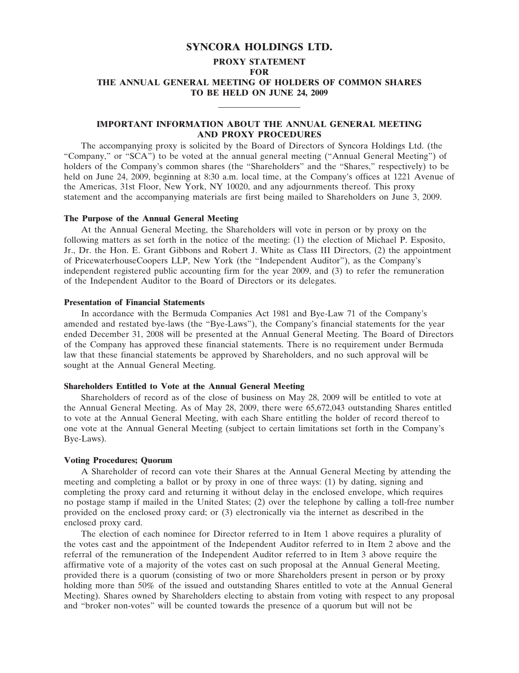# SYNCORA HOLDINGS LTD.

# PROXY STATEMENT FOR THE ANNUAL GENERAL MEETING OF HOLDERS OF COMMON SHARES TO BE HELD ON JUNE 24, 2009

# IMPORTANT INFORMATION ABOUT THE ANNUAL GENERAL MEETING AND PROXY PROCEDURES

The accompanying proxy is solicited by the Board of Directors of Syncora Holdings Ltd. (the "Company," or "SCA") to be voted at the annual general meeting ("Annual General Meeting") of holders of the Company's common shares (the "Shareholders" and the "Shares," respectively) to be held on June 24, 2009, beginning at 8:30 a.m. local time, at the Company's offices at 1221 Avenue of the Americas, 31st Floor, New York, NY 10020, and any adjournments thereof. This proxy statement and the accompanying materials are first being mailed to Shareholders on June 3, 2009.

#### The Purpose of the Annual General Meeting

At the Annual General Meeting, the Shareholders will vote in person or by proxy on the following matters as set forth in the notice of the meeting: (1) the election of Michael P. Esposito, Jr., Dr. the Hon. E. Grant Gibbons and Robert J. White as Class III Directors, (2) the appointment of PricewaterhouseCoopers LLP, New York (the "Independent Auditor"), as the Company's independent registered public accounting firm for the year 2009, and (3) to refer the remuneration of the Independent Auditor to the Board of Directors or its delegates.

## Presentation of Financial Statements

In accordance with the Bermuda Companies Act 1981 and Bye-Law 71 of the Company's amended and restated bye-laws (the "Bye-Laws"), the Company's financial statements for the year ended December 31, 2008 will be presented at the Annual General Meeting. The Board of Directors of the Company has approved these financial statements. There is no requirement under Bermuda law that these financial statements be approved by Shareholders, and no such approval will be sought at the Annual General Meeting.

#### Shareholders Entitled to Vote at the Annual General Meeting

Shareholders of record as of the close of business on May 28, 2009 will be entitled to vote at the Annual General Meeting. As of May 28, 2009, there were 65,672,043 outstanding Shares entitled to vote at the Annual General Meeting, with each Share entitling the holder of record thereof to one vote at the Annual General Meeting (subject to certain limitations set forth in the Company's Bye-Laws).

#### Voting Procedures; Quorum

A Shareholder of record can vote their Shares at the Annual General Meeting by attending the meeting and completing a ballot or by proxy in one of three ways: (1) by dating, signing and completing the proxy card and returning it without delay in the enclosed envelope, which requires no postage stamp if mailed in the United States; (2) over the telephone by calling a toll-free number provided on the enclosed proxy card; or (3) electronically via the internet as described in the enclosed proxy card.

The election of each nominee for Director referred to in Item 1 above requires a plurality of the votes cast and the appointment of the Independent Auditor referred to in Item 2 above and the referral of the remuneration of the Independent Auditor referred to in Item 3 above require the affirmative vote of a majority of the votes cast on such proposal at the Annual General Meeting, provided there is a quorum (consisting of two or more Shareholders present in person or by proxy holding more than 50% of the issued and outstanding Shares entitled to vote at the Annual General Meeting). Shares owned by Shareholders electing to abstain from voting with respect to any proposal and "broker non-votes" will be counted towards the presence of a quorum but will not be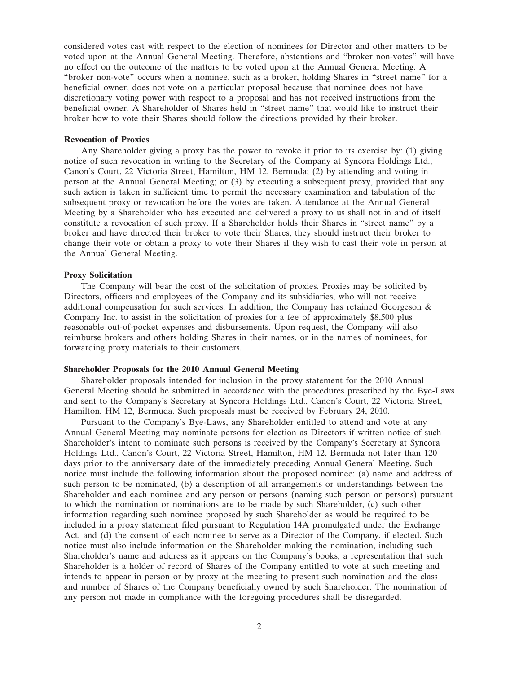considered votes cast with respect to the election of nominees for Director and other matters to be voted upon at the Annual General Meeting. Therefore, abstentions and "broker non-votes" will have no effect on the outcome of the matters to be voted upon at the Annual General Meeting. A "broker non-vote" occurs when a nominee, such as a broker, holding Shares in "street name" for a beneficial owner, does not vote on a particular proposal because that nominee does not have discretionary voting power with respect to a proposal and has not received instructions from the beneficial owner. A Shareholder of Shares held in "street name" that would like to instruct their broker how to vote their Shares should follow the directions provided by their broker.

### Revocation of Proxies

Any Shareholder giving a proxy has the power to revoke it prior to its exercise by: (1) giving notice of such revocation in writing to the Secretary of the Company at Syncora Holdings Ltd., Canon's Court, 22 Victoria Street, Hamilton, HM 12, Bermuda; (2) by attending and voting in person at the Annual General Meeting; or (3) by executing a subsequent proxy, provided that any such action is taken in sufficient time to permit the necessary examination and tabulation of the subsequent proxy or revocation before the votes are taken. Attendance at the Annual General Meeting by a Shareholder who has executed and delivered a proxy to us shall not in and of itself constitute a revocation of such proxy. If a Shareholder holds their Shares in "street name" by a broker and have directed their broker to vote their Shares, they should instruct their broker to change their vote or obtain a proxy to vote their Shares if they wish to cast their vote in person at the Annual General Meeting.

#### Proxy Solicitation

The Company will bear the cost of the solicitation of proxies. Proxies may be solicited by Directors, officers and employees of the Company and its subsidiaries, who will not receive additional compensation for such services. In addition, the Company has retained Georgeson & Company Inc. to assist in the solicitation of proxies for a fee of approximately \$8,500 plus reasonable out-of-pocket expenses and disbursements. Upon request, the Company will also reimburse brokers and others holding Shares in their names, or in the names of nominees, for forwarding proxy materials to their customers.

#### Shareholder Proposals for the 2010 Annual General Meeting

Shareholder proposals intended for inclusion in the proxy statement for the 2010 Annual General Meeting should be submitted in accordance with the procedures prescribed by the Bye-Laws and sent to the Company's Secretary at Syncora Holdings Ltd., Canon's Court, 22 Victoria Street, Hamilton, HM 12, Bermuda. Such proposals must be received by February 24, 2010.

Pursuant to the Company's Bye-Laws, any Shareholder entitled to attend and vote at any Annual General Meeting may nominate persons for election as Directors if written notice of such Shareholder's intent to nominate such persons is received by the Company's Secretary at Syncora Holdings Ltd., Canon's Court, 22 Victoria Street, Hamilton, HM 12, Bermuda not later than 120 days prior to the anniversary date of the immediately preceding Annual General Meeting. Such notice must include the following information about the proposed nominee: (a) name and address of such person to be nominated, (b) a description of all arrangements or understandings between the Shareholder and each nominee and any person or persons (naming such person or persons) pursuant to which the nomination or nominations are to be made by such Shareholder, (c) such other information regarding such nominee proposed by such Shareholder as would be required to be included in a proxy statement filed pursuant to Regulation 14A promulgated under the Exchange Act, and (d) the consent of each nominee to serve as a Director of the Company, if elected. Such notice must also include information on the Shareholder making the nomination, including such Shareholder's name and address as it appears on the Company's books, a representation that such Shareholder is a holder of record of Shares of the Company entitled to vote at such meeting and intends to appear in person or by proxy at the meeting to present such nomination and the class and number of Shares of the Company beneficially owned by such Shareholder. The nomination of any person not made in compliance with the foregoing procedures shall be disregarded.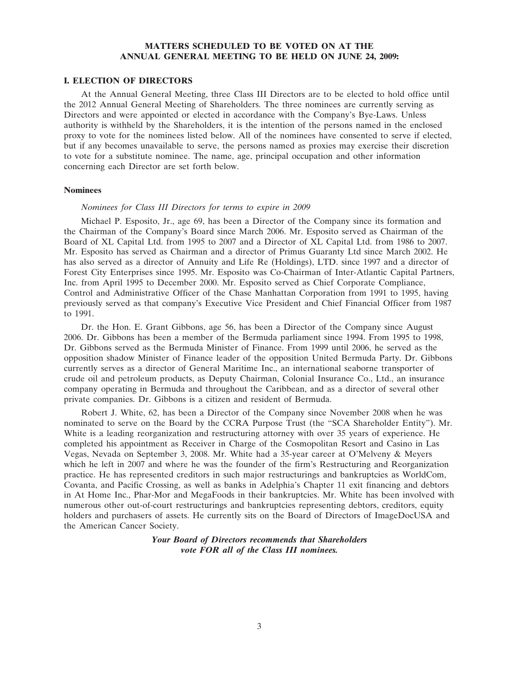# MATTERS SCHEDULED TO BE VOTED ON AT THE ANNUAL GENERAL MEETING TO BE HELD ON JUNE 24, 2009:

## I. ELECTION OF DIRECTORS

At the Annual General Meeting, three Class III Directors are to be elected to hold office until the 2012 Annual General Meeting of Shareholders. The three nominees are currently serving as Directors and were appointed or elected in accordance with the Company's Bye-Laws. Unless authority is withheld by the Shareholders, it is the intention of the persons named in the enclosed proxy to vote for the nominees listed below. All of the nominees have consented to serve if elected, but if any becomes unavailable to serve, the persons named as proxies may exercise their discretion to vote for a substitute nominee. The name, age, principal occupation and other information concerning each Director are set forth below.

## Nominees

### Nominees for Class III Directors for terms to expire in 2009

Michael P. Esposito, Jr., age 69, has been a Director of the Company since its formation and the Chairman of the Company's Board since March 2006. Mr. Esposito served as Chairman of the Board of XL Capital Ltd. from 1995 to 2007 and a Director of XL Capital Ltd. from 1986 to 2007. Mr. Esposito has served as Chairman and a director of Primus Guaranty Ltd since March 2002. He has also served as a director of Annuity and Life Re (Holdings), LTD. since 1997 and a director of Forest City Enterprises since 1995. Mr. Esposito was Co-Chairman of Inter-Atlantic Capital Partners, Inc. from April 1995 to December 2000. Mr. Esposito served as Chief Corporate Compliance, Control and Administrative Officer of the Chase Manhattan Corporation from 1991 to 1995, having previously served as that company's Executive Vice President and Chief Financial Officer from 1987 to 1991.

Dr. the Hon. E. Grant Gibbons, age 56, has been a Director of the Company since August 2006. Dr. Gibbons has been a member of the Bermuda parliament since 1994. From 1995 to 1998, Dr. Gibbons served as the Bermuda Minister of Finance. From 1999 until 2006, he served as the opposition shadow Minister of Finance leader of the opposition United Bermuda Party. Dr. Gibbons currently serves as a director of General Maritime Inc., an international seaborne transporter of crude oil and petroleum products, as Deputy Chairman, Colonial Insurance Co., Ltd., an insurance company operating in Bermuda and throughout the Caribbean, and as a director of several other private companies. Dr. Gibbons is a citizen and resident of Bermuda.

Robert J. White, 62, has been a Director of the Company since November 2008 when he was nominated to serve on the Board by the CCRA Purpose Trust (the "SCA Shareholder Entity"). Mr. White is a leading reorganization and restructuring attorney with over 35 years of experience. He completed his appointment as Receiver in Charge of the Cosmopolitan Resort and Casino in Las Vegas, Nevada on September 3, 2008. Mr. White had a 35-year career at O'Melveny & Meyers which he left in 2007 and where he was the founder of the firm's Restructuring and Reorganization practice. He has represented creditors in such major restructurings and bankruptcies as WorldCom, Covanta, and Pacific Crossing, as well as banks in Adelphia's Chapter 11 exit financing and debtors in At Home Inc., Phar-Mor and MegaFoods in their bankruptcies. Mr. White has been involved with numerous other out-of-court restructurings and bankruptcies representing debtors, creditors, equity holders and purchasers of assets. He currently sits on the Board of Directors of ImageDocUSA and the American Cancer Society.

# Your Board of Directors recommends that Shareholders vote FOR all of the Class III nominees.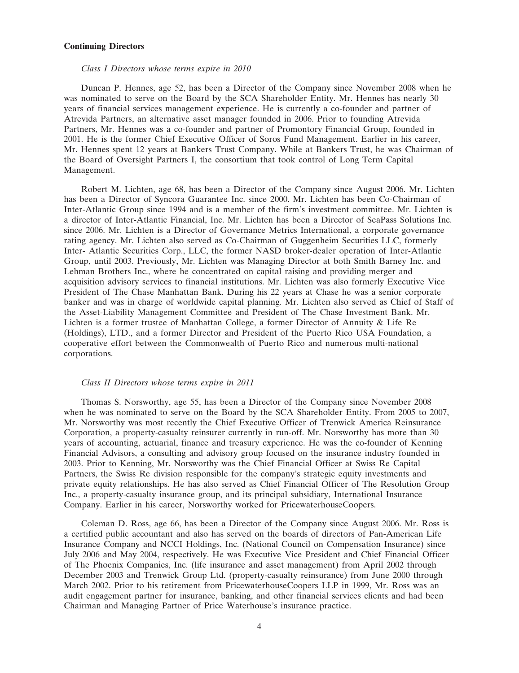# Continuing Directors

### Class I Directors whose terms expire in 2010

Duncan P. Hennes, age 52, has been a Director of the Company since November 2008 when he was nominated to serve on the Board by the SCA Shareholder Entity. Mr. Hennes has nearly 30 years of financial services management experience. He is currently a co-founder and partner of Atrevida Partners, an alternative asset manager founded in 2006. Prior to founding Atrevida Partners, Mr. Hennes was a co-founder and partner of Promontory Financial Group, founded in 2001. He is the former Chief Executive Officer of Soros Fund Management. Earlier in his career, Mr. Hennes spent 12 years at Bankers Trust Company. While at Bankers Trust, he was Chairman of the Board of Oversight Partners I, the consortium that took control of Long Term Capital Management.

Robert M. Lichten, age 68, has been a Director of the Company since August 2006. Mr. Lichten has been a Director of Syncora Guarantee Inc. since 2000. Mr. Lichten has been Co-Chairman of Inter-Atlantic Group since 1994 and is a member of the firm's investment committee. Mr. Lichten is a director of Inter-Atlantic Financial, Inc. Mr. Lichten has been a Director of SeaPass Solutions Inc. since 2006. Mr. Lichten is a Director of Governance Metrics International, a corporate governance rating agency. Mr. Lichten also served as Co-Chairman of Guggenheim Securities LLC, formerly Inter- Atlantic Securities Corp., LLC, the former NASD broker-dealer operation of Inter-Atlantic Group, until 2003. Previously, Mr. Lichten was Managing Director at both Smith Barney Inc. and Lehman Brothers Inc., where he concentrated on capital raising and providing merger and acquisition advisory services to financial institutions. Mr. Lichten was also formerly Executive Vice President of The Chase Manhattan Bank. During his 22 years at Chase he was a senior corporate banker and was in charge of worldwide capital planning. Mr. Lichten also served as Chief of Staff of the Asset-Liability Management Committee and President of The Chase Investment Bank. Mr. Lichten is a former trustee of Manhattan College, a former Director of Annuity & Life Re (Holdings), LTD., and a former Director and President of the Puerto Rico USA Foundation, a cooperative effort between the Commonwealth of Puerto Rico and numerous multi-national corporations.

#### Class II Directors whose terms expire in 2011

Thomas S. Norsworthy, age 55, has been a Director of the Company since November 2008 when he was nominated to serve on the Board by the SCA Shareholder Entity. From 2005 to 2007, Mr. Norsworthy was most recently the Chief Executive Officer of Trenwick America Reinsurance Corporation, a property-casualty reinsurer currently in run-off. Mr. Norsworthy has more than 30 years of accounting, actuarial, finance and treasury experience. He was the co-founder of Kenning Financial Advisors, a consulting and advisory group focused on the insurance industry founded in 2003. Prior to Kenning, Mr. Norsworthy was the Chief Financial Officer at Swiss Re Capital Partners, the Swiss Re division responsible for the company's strategic equity investments and private equity relationships. He has also served as Chief Financial Officer of The Resolution Group Inc., a property-casualty insurance group, and its principal subsidiary, International Insurance Company. Earlier in his career, Norsworthy worked for PricewaterhouseCoopers.

Coleman D. Ross, age 66, has been a Director of the Company since August 2006. Mr. Ross is a certified public accountant and also has served on the boards of directors of Pan-American Life Insurance Company and NCCI Holdings, Inc. (National Council on Compensation Insurance) since July 2006 and May 2004, respectively. He was Executive Vice President and Chief Financial Officer of The Phoenix Companies, Inc. (life insurance and asset management) from April 2002 through December 2003 and Trenwick Group Ltd. (property-casualty reinsurance) from June 2000 through March 2002. Prior to his retirement from PricewaterhouseCoopers LLP in 1999, Mr. Ross was an audit engagement partner for insurance, banking, and other financial services clients and had been Chairman and Managing Partner of Price Waterhouse's insurance practice.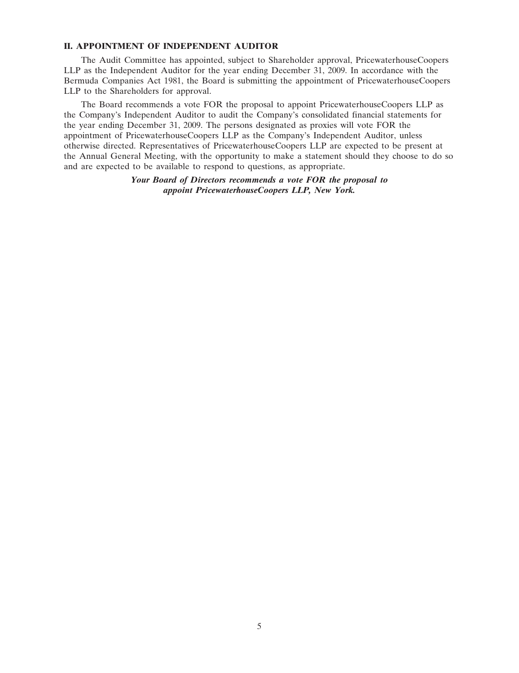## II. APPOINTMENT OF INDEPENDENT AUDITOR

The Audit Committee has appointed, subject to Shareholder approval, PricewaterhouseCoopers LLP as the Independent Auditor for the year ending December 31, 2009. In accordance with the Bermuda Companies Act 1981, the Board is submitting the appointment of PricewaterhouseCoopers LLP to the Shareholders for approval.

The Board recommends a vote FOR the proposal to appoint PricewaterhouseCoopers LLP as the Company's Independent Auditor to audit the Company's consolidated financial statements for the year ending December 31, 2009. The persons designated as proxies will vote FOR the appointment of PricewaterhouseCoopers LLP as the Company's Independent Auditor, unless otherwise directed. Representatives of PricewaterhouseCoopers LLP are expected to be present at the Annual General Meeting, with the opportunity to make a statement should they choose to do so and are expected to be available to respond to questions, as appropriate.

> Your Board of Directors recommends a vote FOR the proposal to appoint PricewaterhouseCoopers LLP, New York.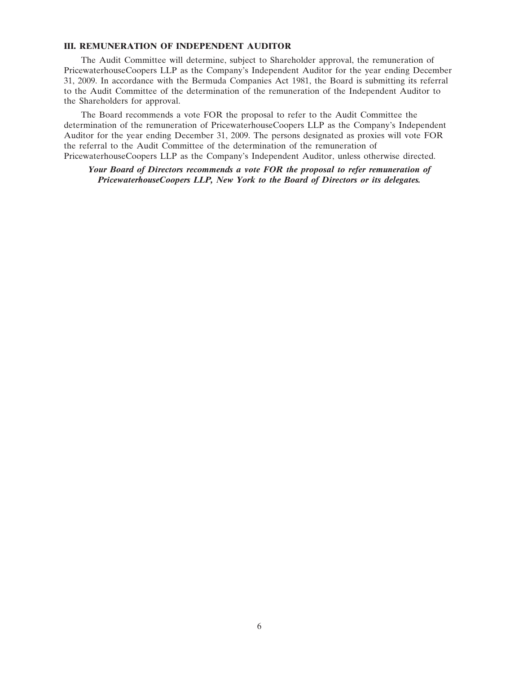## III. REMUNERATION OF INDEPENDENT AUDITOR

The Audit Committee will determine, subject to Shareholder approval, the remuneration of PricewaterhouseCoopers LLP as the Company's Independent Auditor for the year ending December 31, 2009. In accordance with the Bermuda Companies Act 1981, the Board is submitting its referral to the Audit Committee of the determination of the remuneration of the Independent Auditor to the Shareholders for approval.

The Board recommends a vote FOR the proposal to refer to the Audit Committee the determination of the remuneration of PricewaterhouseCoopers LLP as the Company's Independent Auditor for the year ending December 31, 2009. The persons designated as proxies will vote FOR the referral to the Audit Committee of the determination of the remuneration of PricewaterhouseCoopers LLP as the Company's Independent Auditor, unless otherwise directed.

Your Board of Directors recommends a vote FOR the proposal to refer remuneration of PricewaterhouseCoopers LLP, New York to the Board of Directors or its delegates.